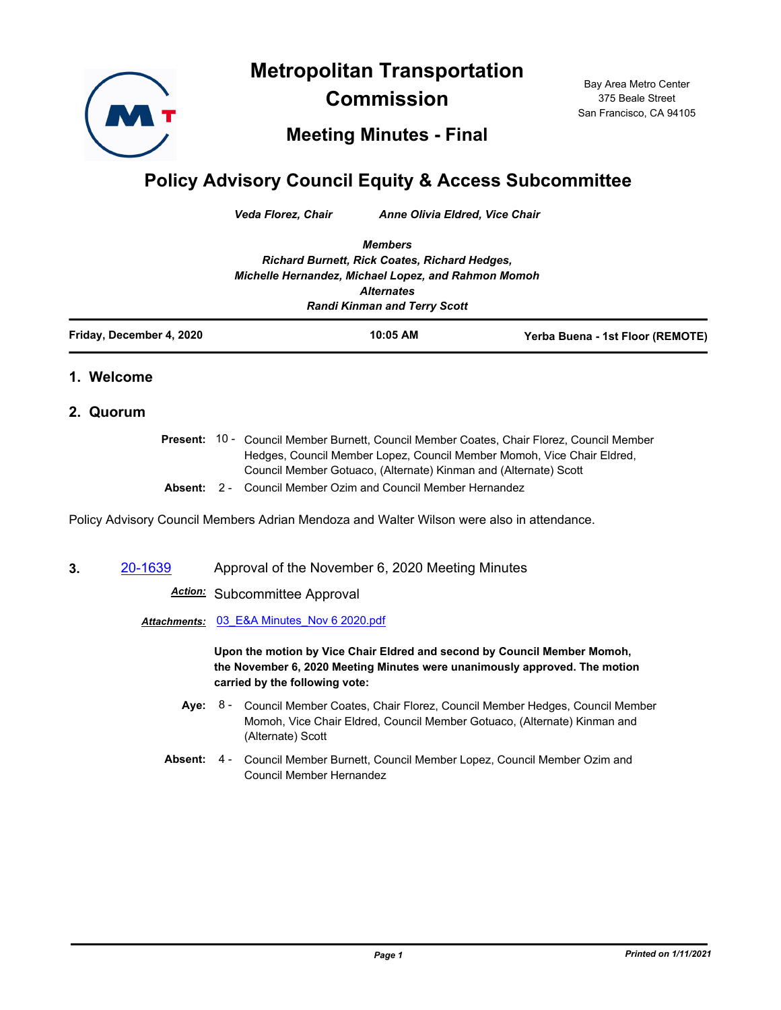**Metropolitan Transportation** 



**Commission**

Bay Area Metro Center 375 Beale Street San Francisco, CA 94105

## **Meeting Minutes - Final**

## **Policy Advisory Council Equity & Access Subcommittee**

*Veda Florez, Chair Anne Olivia Eldred, Vice Chair*

*Members Richard Burnett, Rick Coates, Richard Hedges, Michelle Hernandez, Michael Lopez, and Rahmon Momoh Alternates Randi Kinman and Terry Scott*

| Friday, December 4, 2020 | 10:05 AM | Yerba Buena - 1st Floor (REMOTE) |
|--------------------------|----------|----------------------------------|
|                          |          |                                  |

## **1. Welcome**

## **2. Quorum**

Present: 10 - Council Member Burnett, Council Member Coates, Chair Florez, Council Member Hedges, Council Member Lopez, Council Member Momoh, Vice Chair Eldred, Council Member Gotuaco, (Alternate) Kinman and (Alternate) Scott **Absent:** 2 - Council Member Ozim and Council Member Hernandez

Policy Advisory Council Members Adrian Mendoza and Walter Wilson were also in attendance.

**3.** [20-1639](http://mtc.legistar.com/gateway.aspx?m=l&id=/matter.aspx?key=21504) Approval of the November 6, 2020 Meeting Minutes

*Action:* Subcommittee Approval

*Attachments:* [03\\_E&A Minutes\\_Nov 6 2020.pdf](http://mtc.legistar.com/gateway.aspx?M=F&ID=656cc4c1-b7c8-40d8-8a1d-9a3a071095f9.pdf)

**Upon the motion by Vice Chair Eldred and second by Council Member Momoh, the November 6, 2020 Meeting Minutes were unanimously approved. The motion carried by the following vote:**

- Aye: 8 Council Member Coates, Chair Florez, Council Member Hedges, Council Member Momoh, Vice Chair Eldred, Council Member Gotuaco, (Alternate) Kinman and (Alternate) Scott
- Absent: 4 Council Member Burnett, Council Member Lopez, Council Member Ozim and Council Member Hernandez